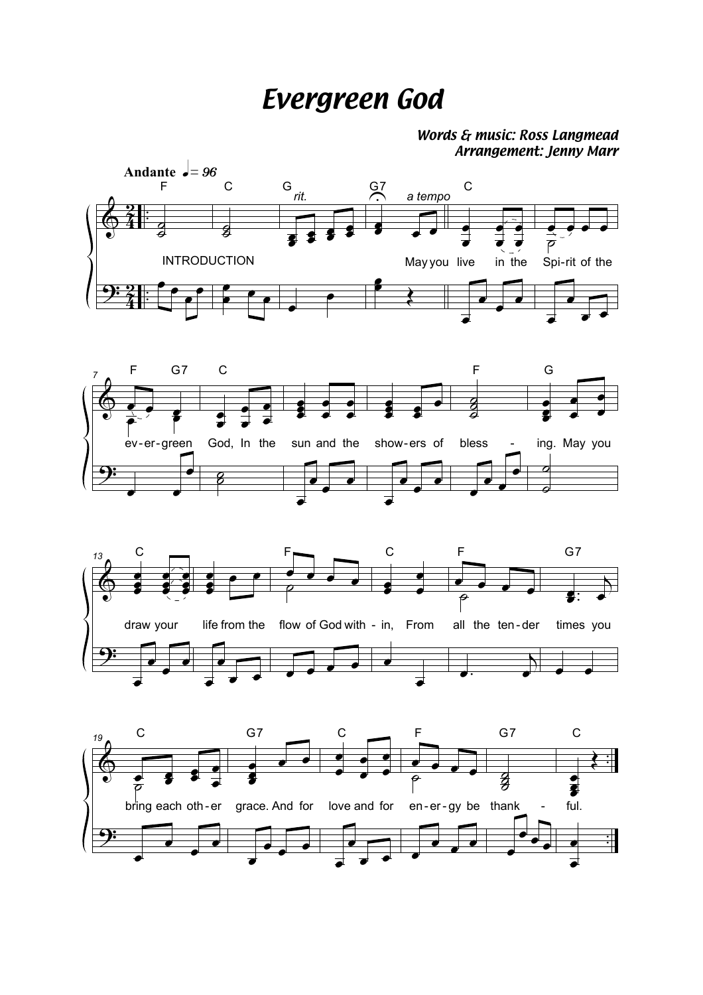## **Evergreen God**

## Words & music: Ross Langmead Arrangement: Jenny Marr